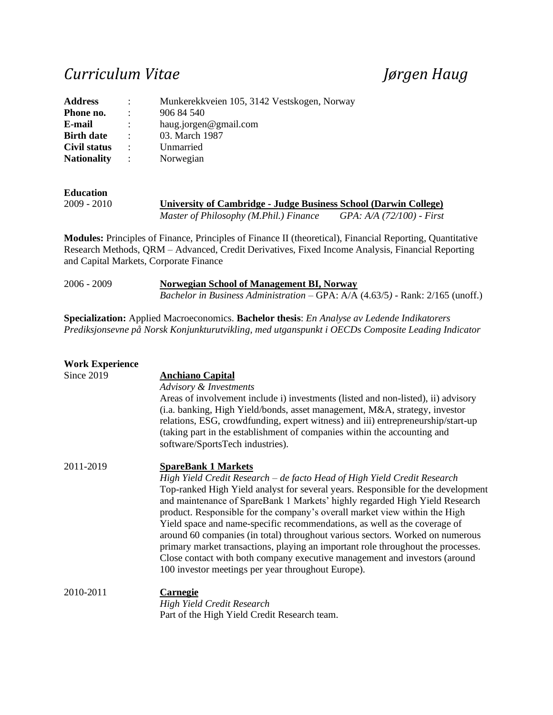## *Curriculum Vitae Jørgen Haug*

| <b>Address</b>     | $\mathbb{R}^{\mathbb{Z}}$ | Munkerekkveien 105, 3142 Vestskogen, Norway |
|--------------------|---------------------------|---------------------------------------------|
| Phone no.          | $\ddot{\phantom{0}}$      | 906 84 540                                  |
| E-mail             | $\ddot{\phantom{a}}$      | haug.jorgen@gmail.com                       |
| <b>Birth date</b>  | $\ddot{\phantom{1}}$      | 03. March 1987                              |
| Civil status       | $\ddot{\cdot}$            | Unmarried                                   |
| <b>Nationality</b> |                           | Norwegian                                   |

**Education**<br>2009 - 2010 **<u>University of Cambridge - Judge Business School (Darwin College)</u>** *Master of Philosophy (M.Phil.) Finance GPA: A/A (72/100) - First*

**Modules:** Principles of Finance, Principles of Finance II (theoretical), Financial Reporting, Quantitative Research Methods, QRM – Advanced, Credit Derivatives, Fixed Income Analysis, Financial Reporting and Capital Markets, Corporate Finance

| 2006 - 2009 | Norwegian School of Management BI, Norway                                                          |  |  |  |
|-------------|----------------------------------------------------------------------------------------------------|--|--|--|
|             | <i>Bachelor in Business Administration – GPA: A/A <math>(4.63/5)</math> - Rank: 2/165 (unoff.)</i> |  |  |  |

**Specialization:** Applied Macroeconomics. **Bachelor thesis**: *En Analyse av Ledende Indikatorers Prediksjonsevne på Norsk Konjunkturutvikling, med utganspunkt i OECDs Composite Leading Indicator*

| <b>Work Experience</b> |                                                                                                                                                                                                                                                                                                                                                                                                                                                                                                                                                                                                                                                                                                                                               |
|------------------------|-----------------------------------------------------------------------------------------------------------------------------------------------------------------------------------------------------------------------------------------------------------------------------------------------------------------------------------------------------------------------------------------------------------------------------------------------------------------------------------------------------------------------------------------------------------------------------------------------------------------------------------------------------------------------------------------------------------------------------------------------|
| Since 2019             | <b>Anchiano Capital</b><br>Advisory & Investments<br>Areas of involvement include i) investments (listed and non-listed), ii) advisory<br>(i.a. banking, High Yield/bonds, asset management, M&A, strategy, investor<br>relations, ESG, crowdfunding, expert witness) and iii) entrepreneurship/start-up<br>(taking part in the establishment of companies within the accounting and<br>software/SportsTech industries).                                                                                                                                                                                                                                                                                                                      |
| 2011-2019              | <b>SpareBank 1 Markets</b><br>High Yield Credit Research – de facto Head of High Yield Credit Research<br>Top-ranked High Yield analyst for several years. Responsible for the development<br>and maintenance of SpareBank 1 Markets' highly regarded High Yield Research<br>product. Responsible for the company's overall market view within the High<br>Yield space and name-specific recommendations, as well as the coverage of<br>around 60 companies (in total) throughout various sectors. Worked on numerous<br>primary market transactions, playing an important role throughout the processes.<br>Close contact with both company executive management and investors (around<br>100 investor meetings per year throughout Europe). |
| 2010-2011              | Carnegie<br>High Yield Credit Research<br>Part of the High Yield Credit Research team.                                                                                                                                                                                                                                                                                                                                                                                                                                                                                                                                                                                                                                                        |